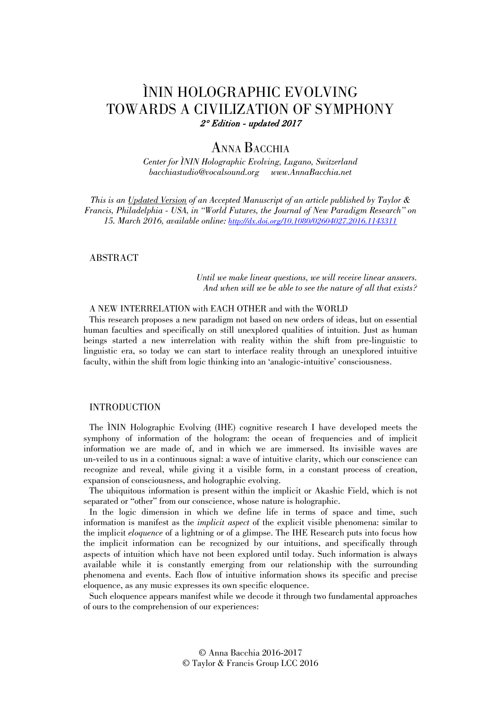# ÌNIN HOLOGRAPHIC EVOLVING TOWARDS A CIVILIZATION OF SYMPHONY 2° Edition - updated 2017

# ANNA BACCHIA

*Center for ÌNIN Holographic Evolving, Lugano, Switzerland bacchiastudio@vocalsound.org www.AnnaBacchia.net*

*This is an Updated Version of an Accepted Manuscript of an article published by Taylor & Francis, Philadelphia - USA, in "World Futures, the Journal of New Paradigm Research" on 15. March 2016, available online:<http://dx.doi.org/10.1080/02604027.2016.1143311>*

#### ABSTRACT

*Until we make linear questions, we will receive linear answers. And when will we be able to see the nature of all that exists?*

## A NEW INTERRELATION with EACH OTHER and with the WORLD

This research proposes a new paradigm not based on new orders of ideas, but on essential human faculties and specifically on still unexplored qualities of intuition. Just as human beings started a new interrelation with reality within the shift from pre-linguistic to linguistic era, so today we can start to interface reality through an unexplored intuitive faculty, within the shift from logic thinking into an 'analogic-intuitive' consciousness.

## INTRODUCTION

The ÌNIN Holographic Evolving (IHE) cognitive research I have developed meets the symphony of information of the hologram: the ocean of frequencies and of implicit information we are made of, and in which we are immersed. Its invisible waves are un-veiled to us in a continuous signal: a wave of intuitive clarity, which our conscience can recognize and reveal, while giving it a visible form, in a constant process of creation, expansion of consciousness, and holographic evolving.

The ubiquitous information is present within the implicit or Akashic Field, which is not separated or "other" from our conscience, whose nature is holographic.

In the logic dimension in which we define life in terms of space and time, such information is manifest as the *implicit aspect* of the explicit visible phenomena: similar to the implicit *eloquence* of a lightning or of a glimpse. The IHE Research puts into focus how the implicit information can be recognized by our intuitions, and specifically through aspects of intuition which have not been explored until today. Such information is always available while it is constantly emerging from our relationship with the surrounding phenomena and events. Each flow of intuitive information shows its specific and precise eloquence, as any music expresses its own specific eloquence.

Such eloquence appears manifest while we decode it through two fundamental approaches of ours to the comprehension of our experiences: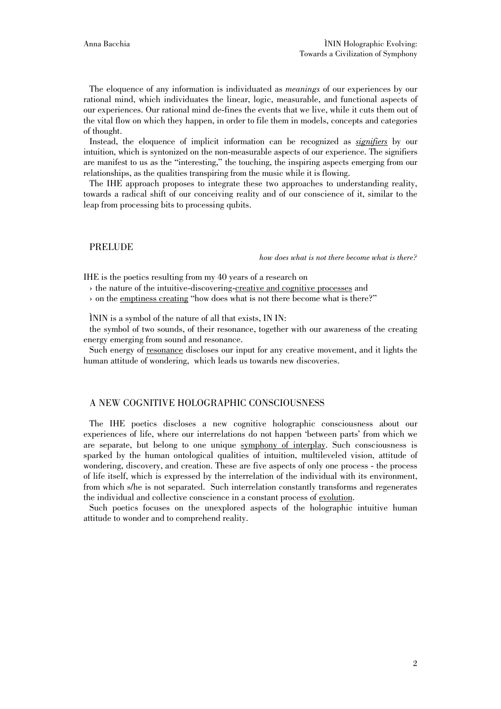The eloquence of any information is individuated as *meanings* of our experiences by our rational mind, which individuates the linear, logic, measurable, and functional aspects of our experiences. Our rational mind de-fines the events that we live, while it cuts them out of the vital flow on which they happen, in order to file them in models, concepts and categories of thought.

Instead, the eloquence of implicit information can be recognized as *signifiers* by our intuition, which is syntonized on the non-measurable aspects of our experience. The signifiers are manifest to us as the "interesting," the touching, the inspiring aspects emerging from our relationships, as the qualities transpiring from the music while it is flowing.

The IHE approach proposes to integrate these two approaches to understanding reality, towards a radical shift of our conceiving reality and of our conscience of it, similar to the leap from processing bits to processing qubits.

#### PRELUDE

*how does what is not there become what is there?*

IHE is the poetics resulting from my 40 years of a research on

› the nature of the intuitive-discovering-creative and cognitive processes and

› on the emptiness creating "how does what is not there become what is there?"

ÌNIN is a symbol of the nature of all that exists, IN IN:

the symbol of two sounds, of their resonance, together with our awareness of the creating energy emerging from sound and resonance.

Such energy of resonance discloses our input for any creative movement, and it lights the human attitude of wondering, which leads us towards new discoveries.

## A NEW COGNITIVE HOLOGRAPHIC CONSCIOUSNESS

The IHE poetics discloses a new cognitive holographic consciousness about our experiences of life, where our interrelations do not happen 'between parts' from which we are separate, but belong to one unique symphony of interplay. Such consciousness is sparked by the human ontological qualities of intuition, multileveled vision, attitude of wondering, discovery, and creation. These are five aspects of only one process - the process of life itself, which is expressed by the interrelation of the individual with its environment, from which s/he is not separated. Such interrelation constantly transforms and regenerates the individual and collective conscience in a constant process of evolution.

Such poetics focuses on the unexplored aspects of the holographic intuitive human attitude to wonder and to comprehend reality.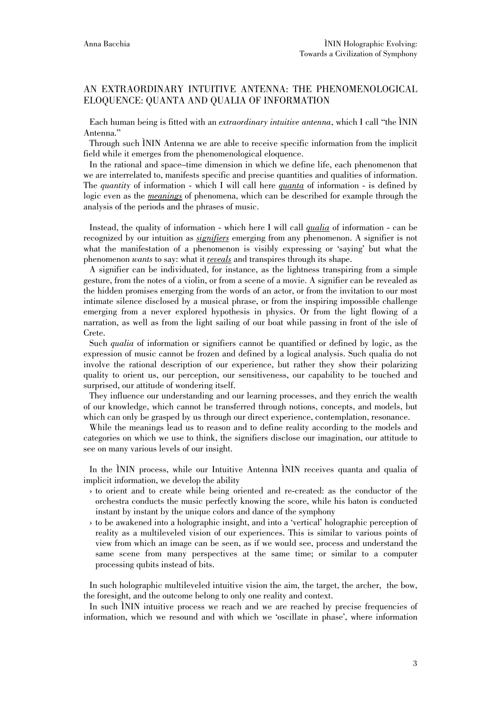## AN EXTRAORDINARY INTUITIVE ANTENNA: THE PHENOMENOLOGICAL ELOQUENCE: QUANTA AND QUALIA OF INFORMATION

Each human being is fitted with an *extraordinary intuitive antenna*, which I call "the ÌNIN Antenna."

Through such ÌNIN Antenna we are able to receive specific information from the implicit field while it emerges from the phenomenological eloquence.

In the rational and space–time dimension in which we define life, each phenomenon that we are interrelated to, manifests specific and precise quantities and qualities of information. The *quantity* of information - which I will call here *quanta* of information - is defined by logic even as the *meanings* of phenomena, which can be described for example through the analysis of the periods and the phrases of music.

Instead, the quality of information - which here I will call *qualia* of information - can be recognized by our intuition as *signifiers* emerging from any phenomenon. A signifier is not what the manifestation of a phenomenon is visibly expressing or 'saying' but what the phenomenon *wants* to say: what it *reveals* and transpires through its shape.

A signifier can be individuated, for instance, as the lightness transpiring from a simple gesture, from the notes of a violin, or from a scene of a movie. A signifier can be revealed as the hidden promises emerging from the words of an actor, or from the invitation to our most intimate silence disclosed by a musical phrase, or from the inspiring impossible challenge emerging from a never explored hypothesis in physics. Or from the light flowing of a narration, as well as from the light sailing of our boat while passing in front of the isle of Crete.

Such *qualia* of information or signifiers cannot be quantified or defined by logic, as the expression of music cannot be frozen and defined by a logical analysis. Such qualia do not involve the rational description of our experience, but rather they show their polarizing quality to orient us, our perception, our sensitiveness, our capability to be touched and surprised, our attitude of wondering itself.

They influence our understanding and our learning processes, and they enrich the wealth of our knowledge, which cannot be transferred through notions, concepts, and models, but which can only be grasped by us through our direct experience, contemplation, resonance.

While the meanings lead us to reason and to define reality according to the models and categories on which we use to think, the signifiers disclose our imagination, our attitude to see on many various levels of our insight.

In the ÌNIN process, while our Intuitive Antenna ÌNIN receives quanta and qualia of implicit information, we develop the ability

- › to orient and to create while being oriented and re-created: as the conductor of the orchestra conducts the music perfectly knowing the score, while his baton is conducted instant by instant by the unique colors and dance of the symphony
- › to be awakened into a holographic insight, and into a 'vertical' holographic perception of reality as a multileveled vision of our experiences. This is similar to various points of view from which an image can be seen, as if we would see, process and understand the same scene from many perspectives at the same time; or similar to a computer processing qubits instead of bits.

In such holographic multileveled intuitive vision the aim, the target, the archer, the bow, the foresight, and the outcome belong to only one reality and context.

In such ININ intuitive process we reach and we are reached by precise frequencies of information, which we resound and with which we 'oscillate in phase', where information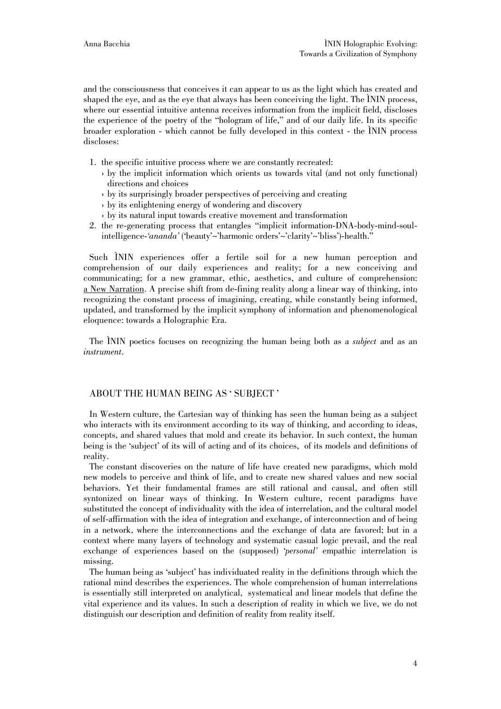and the consciousness that conceives it can appear to us as the light which has created and shaped the eye, and as the eye that always has been conceiving the light. The ÌNIN process, where our essential intuitive antenna receives information from the implicit field, discloses the experience of the poetry of the "hologram of life," and of our daily life. In its specific broader exploration - which cannot be fully developed in this context - the ÌNIN process discloses:

- 1. the specific intuitive process where we are constantly recreated:
	- › by the implicit information which orients us towards vital (and not only functional) directions and choices
	- › by its surprisingly broader perspectives of perceiving and creating
	- › by its enlightening energy of wondering and discovery
	- › by its natural input towards creative movement and transformation
- 2. the re-generating process that entangles "implicit information-DNA-body-mind-soulintelligence-*'ananda'* ('beauty'~'harmonic orders'~'clarity'~'bliss')-health."

Such ÌNIN experiences offer a fertile soil for a new human perception and comprehension of our daily experiences and reality; for a new conceiving and communicating; for a new grammar, ethic, aesthetics, and culture of comprehension: a New Narration. A precise shift from de-fining reality along a linear way of thinking, into recognizing the constant process of imagining, creating, while constantly being informed, updated, and transformed by the implicit symphony of information and phenomenological eloquence: towards a Holographic Era.

The ÌNIN poetics focuses on recognizing the human being both as a *subject* and as an *instrument*.

## ABOUT THE HUMAN BEING AS ' SUBJECT '

In Western culture, the Cartesian way of thinking has seen the human being as a subject who interacts with its environment according to its way of thinking, and according to ideas, concepts, and shared values that mold and create its behavior. In such context, the human being is the 'subject' of its will of acting and of its choices, of its models and definitions of reality.

The constant discoveries on the nature of life have created new paradigms, which mold new models to perceive and think of life, and to create new shared values and new social behaviors. Yet their fundamental frames are still rational and causal, and often still syntonized on linear ways of thinking. In Western culture, recent paradigms have substituted the concept of individuality with the idea of interrelation, and the cultural model of self-affirmation with the idea of integration and exchange, of interconnection and of being in a network, where the interconnections and the exchange of data are favored; but in a context where many layers of technology and systematic casual logic prevail, and the real exchange of experiences based on the (supposed) '*personal'* empathic interrelation is missing.

The human being as 'subject' has individuated reality in the definitions through which the rational mind describes the experiences. The whole comprehension of human interrelations is essentially still interpreted on analytical, systematical and linear models that define the vital experience and its values. In such a description of reality in which we live, we do not distinguish our description and definition of reality from reality itself.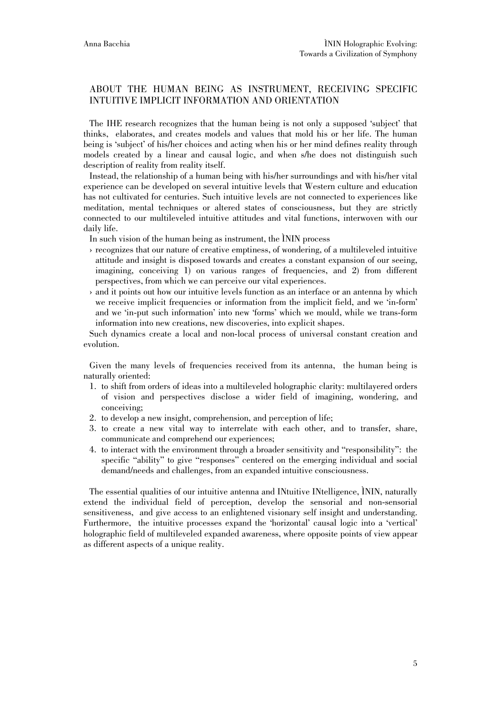## ABOUT THE HUMAN BEING AS INSTRUMENT, RECEIVING SPECIFIC INTUITIVE IMPLICIT INFORMATION AND ORIENTATION

The IHE research recognizes that the human being is not only a supposed 'subject' that thinks, elaborates, and creates models and values that mold his or her life. The human being is 'subject' of his/her choices and acting when his or her mind defines reality through models created by a linear and causal logic, and when s/he does not distinguish such description of reality from reality itself.

Instead, the relationship of a human being with his/her surroundings and with his/her vital experience can be developed on several intuitive levels that Western culture and education has not cultivated for centuries. Such intuitive levels are not connected to experiences like meditation, mental techniques or altered states of consciousness, but they are strictly connected to our multileveled intuitive attitudes and vital functions, interwoven with our daily life.

In such vision of the human being as instrument, the ÌNIN process

- › recognizes that our nature of creative emptiness, of wondering, of a multileveled intuitive attitude and insight is disposed towards and creates a constant expansion of our seeing, imagining, conceiving 1) on various ranges of frequencies, and 2) from different perspectives, from which we can perceive our vital experiences.
- › and it points out how our intuitive levels function as an interface or an antenna by which we receive implicit frequencies or information from the implicit field, and we 'in-form' and we 'in-put such information' into new 'forms' which we mould, while we trans-form information into new creations, new discoveries, into explicit shapes.

Such dynamics create a local and non-local process of universal constant creation and evolution.

Given the many levels of frequencies received from its antenna, the human being is naturally oriented:

- 1. to shift from orders of ideas into a multileveled holographic clarity: multilayered orders of vision and perspectives disclose a wider field of imagining, wondering, and conceiving;
- 2. to develop a new insight, comprehension, and perception of life;
- 3. to create a new vital way to interrelate with each other, and to transfer, share, communicate and comprehend our experiences;
- 4. to interact with the environment through a broader sensitivity and "responsibility": the specific "ability" to give "responses" centered on the emerging individual and social demand/needs and challenges, from an expanded intuitive consciousness.

The essential qualities of our intuitive antenna and INtuitive INtelligence, ÌNIN, naturally extend the individual field of perception, develop the sensorial and non-sensorial sensitiveness, and give access to an enlightened visionary self insight and understanding. Furthermore, the intuitive processes expand the 'horizontal' causal logic into a 'vertical' holographic field of multileveled expanded awareness, where opposite points of view appear as different aspects of a unique reality.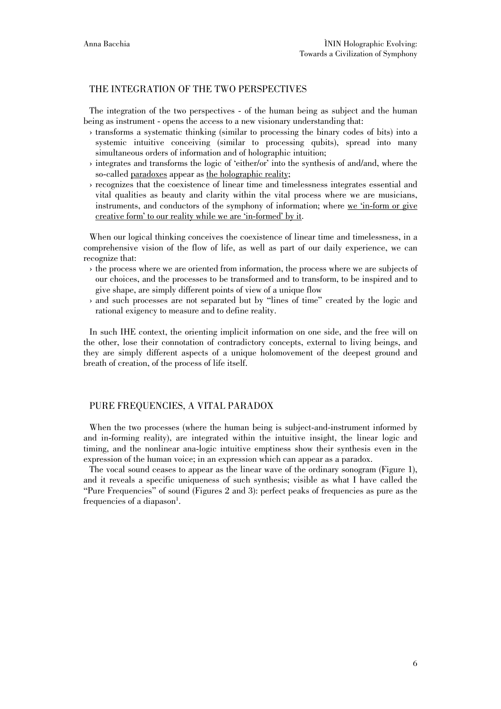## THE INTEGRATION OF THE TWO PERSPECTIVES

The integration of the two perspectives - of the human being as subject and the human being as instrument - opens the access to a new visionary understanding that:

- › transforms a systematic thinking (similar to processing the binary codes of bits) into a systemic intuitive conceiving (similar to processing qubits), spread into many simultaneous orders of information and of holographic intuition;
- › integrates and transforms the logic of 'either/or' into the synthesis of and/and, where the so-called paradoxes appear as the holographic reality;
- › recognizes that the coexistence of linear time and timelessness integrates essential and vital qualities as beauty and clarity within the vital process where we are musicians, instruments, and conductors of the symphony of information; where we 'in-form or give creative form' to our reality while we are 'in-formed' by it.

When our logical thinking conceives the coexistence of linear time and timelessness, in a comprehensive vision of the flow of life, as well as part of our daily experience, we can recognize that:

- › the process where we are oriented from information, the process where we are subjects of our choices, and the processes to be transformed and to transform, to be inspired and to give shape, are simply different points of view of a unique flow
- › and such processes are not separated but by "lines of time" created by the logic and rational exigency to measure and to define reality.

In such IHE context, the orienting implicit information on one side, and the free will on the other, lose their connotation of contradictory concepts, external to living beings, and they are simply different aspects of a unique holomovement of the deepest ground and breath of creation, of the process of life itself.

#### PURE FREQUENCIES, A VITAL PARADOX

When the two processes (where the human being is subject-and-instrument informed by and in-forming reality), are integrated within the intuitive insight, the linear logic and timing, and the nonlinear ana-logic intuitive emptiness show their synthesis even in the expression of the human voice; in an expression which can appear as a paradox.

The vocal sound ceases to appear as the linear wave of the ordinary sonogram (Figure 1), and it reveals a specific uniqueness of such synthesis; visible as what I have called the "Pure Frequencies" of sound (Figures 2 and 3): perfect peaks of frequencies as pure as the frequencies of a diapason<sup>1</sup>.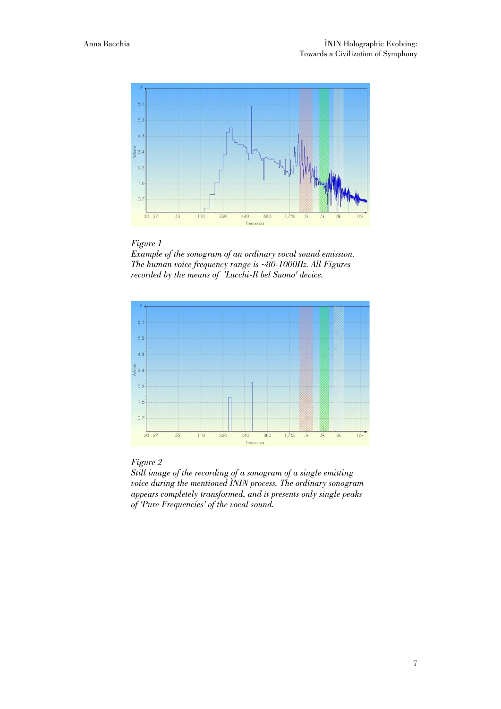

## *Figure 1*

*Example of the sonogram of an ordinary vocal sound emission. The human voice frequency range is ~80-1000Hz. All Figures recorded by the means of 'Lucchi-Il bel Suono' device.* 



## *Figure 2*

*Still image of the recording of a sonogram of a single emitting voice during the mentioned ÌNIN process. The ordinary sonogram appears completely transformed, and it presents only single peaks of 'Pure Frequencies' of the vocal sound.*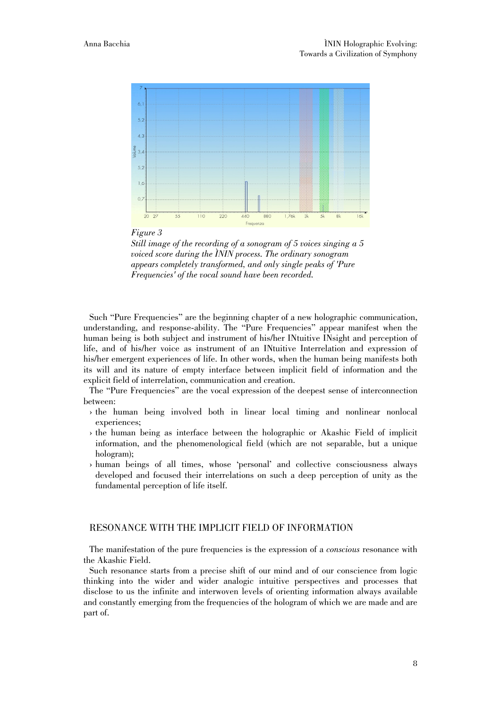

#### *Figure 3*

*Still image of the recording of a sonogram of 5 voices singing a 5 voiced score during the ÌNIN process. The ordinary sonogram appears completely transformed, and only single peaks of 'Pure Frequencies' of the vocal sound have been recorded.*

Such "Pure Frequencies" are the beginning chapter of a new holographic communication, understanding, and response-ability. The "Pure Frequencies" appear manifest when the human being is both subject and instrument of his/her INtuitive INsight and perception of life, and of his/her voice as instrument of an INtuitive Interrelation and expression of his/her emergent experiences of life. In other words, when the human being manifests both its will and its nature of empty interface between implicit field of information and the explicit field of interrelation, communication and creation.

The "Pure Frequencies" are the vocal expression of the deepest sense of interconnection between:

- › the human being involved both in linear local timing and nonlinear nonlocal experiences;
- › the human being as interface between the holographic or Akashic Field of implicit information, and the phenomenological field (which are not separable, but a unique hologram);
- › human beings of all times, whose 'personal' and collective consciousness always developed and focused their interrelations on such a deep perception of unity as the fundamental perception of life itself.

#### RESONANCE WITH THE IMPLICIT FIELD OF INFORMATION

The manifestation of the pure frequencies is the expression of a *conscious* resonance with the Akashic Field.

Such resonance starts from a precise shift of our mind and of our conscience from logic thinking into the wider and wider analogic intuitive perspectives and processes that disclose to us the infinite and interwoven levels of orienting information always available and constantly emerging from the frequencies of the hologram of which we are made and are part of.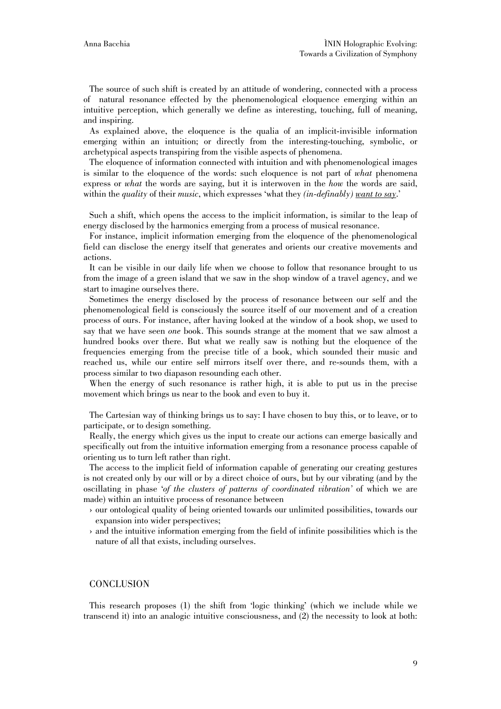The source of such shift is created by an attitude of wondering, connected with a process of natural resonance effected by the phenomenological eloquence emerging within an intuitive perception, which generally we define as interesting, touching, full of meaning, and inspiring.

As explained above, the eloquence is the qualia of an implicit-invisible information emerging within an intuition; or directly from the interesting-touching, symbolic, or archetypical aspects transpiring from the visible aspects of phenomena.

The eloquence of information connected with intuition and with phenomenological images is similar to the eloquence of the words: such eloquence is not part of *what* phenomena express or *what* the words are saying, but it is interwoven in the *how* the words are said, within the *quality* of their *music*, which expresses 'what they *(in-definably) want to say*.'

Such a shift, which opens the access to the implicit information, is similar to the leap of energy disclosed by the harmonics emerging from a process of musical resonance.

For instance, implicit information emerging from the eloquence of the phenomenological field can disclose the energy itself that generates and orients our creative movements and actions.

It can be visible in our daily life when we choose to follow that resonance brought to us from the image of a green island that we saw in the shop window of a travel agency, and we start to imagine ourselves there.

Sometimes the energy disclosed by the process of resonance between our self and the phenomenological field is consciously the source itself of our movement and of a creation process of ours. For instance, after having looked at the window of a book shop, we used to say that we have seen *one* book. This sounds strange at the moment that we saw almost a hundred books over there. But what we really saw is nothing but the eloquence of the frequencies emerging from the precise title of a book, which sounded their music and reached us, while our entire self mirrors itself over there, and re-sounds them, with a process similar to two diapason resounding each other.

When the energy of such resonance is rather high, it is able to put us in the precise movement which brings us near to the book and even to buy it.

The Cartesian way of thinking brings us to say: I have chosen to buy this, or to leave, or to participate, or to design something.

Really, the energy which gives us the input to create our actions can emerge basically and specifically out from the intuitive information emerging from a resonance process capable of orienting us to turn left rather than right.

The access to the implicit field of information capable of generating our creating gestures is not created only by our will or by a direct choice of ours, but by our vibrating (and by the oscillating in phase '*of the clusters of patterns of coordinated vibration'* of which we are made) within an intuitive process of resonance between

- › our ontological quality of being oriented towards our unlimited possibilities, towards our expansion into wider perspectives;
- $\rightarrow$  and the intuitive information emerging from the field of infinite possibilities which is the nature of all that exists, including ourselves.

#### **CONCLUSION**

This research proposes (1) the shift from 'logic thinking' (which we include while we transcend it) into an analogic intuitive consciousness, and (2) the necessity to look at both: